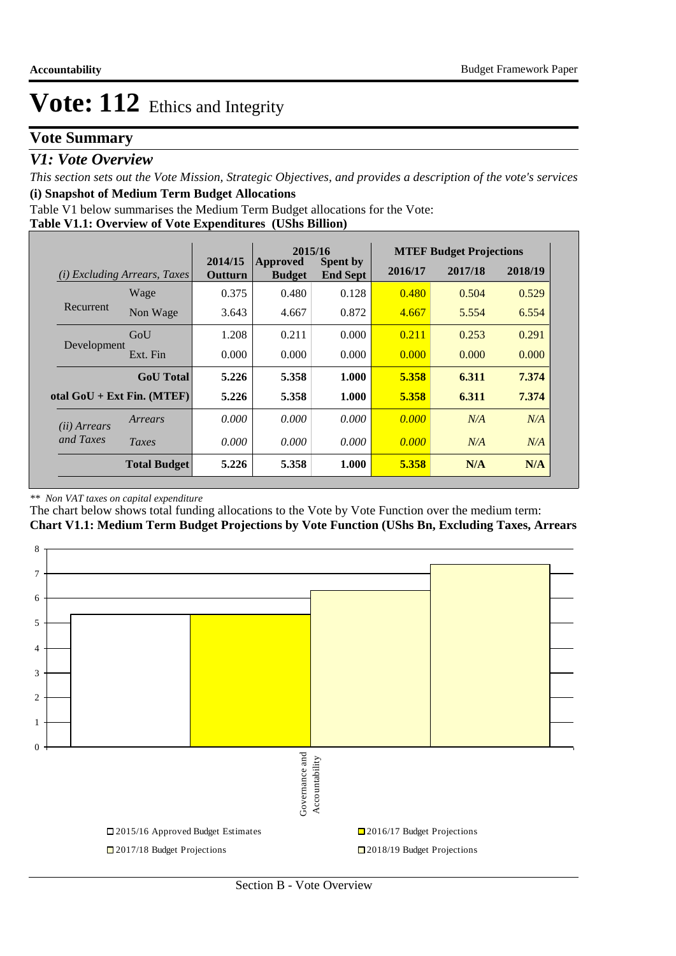## **Vote Summary**

## *V1: Vote Overview*

*This section sets out the Vote Mission, Strategic Objectives, and provides a description of the vote's services* **(i) Snapshot of Medium Term Budget Allocations** 

Table V1 below summarises the Medium Term Budget allocations for the Vote:

**Table V1.1: Overview of Vote Expenditures (UShs Billion)**

|                       |                                 |                    | 2015/16                          |                                    |         | <b>MTEF Budget Projections</b> |         |
|-----------------------|---------------------------------|--------------------|----------------------------------|------------------------------------|---------|--------------------------------|---------|
| (i)                   | <i>Excluding Arrears, Taxes</i> | 2014/15<br>Outturn | <b>Approved</b><br><b>Budget</b> | <b>Spent by</b><br><b>End Sept</b> | 2016/17 | 2017/18                        | 2018/19 |
|                       | Wage                            | 0.375              | 0.480                            | 0.128                              | 0.480   | 0.504                          | 0.529   |
| Recurrent             | Non Wage                        | 3.643              | 4.667                            | 0.872                              | 4.667   | 5.554                          | 6.554   |
|                       | GoU                             | 1.208              | 0.211                            | 0.000                              | 0.211   | 0.253                          | 0.291   |
| Development           | Ext. Fin                        | 0.000              | 0.000                            | 0.000                              | 0.000   | 0.000                          | 0.000   |
|                       | <b>GoU</b> Total                | 5.226              | 5.358                            | 1.000                              | 5.358   | 6.311                          | 7.374   |
|                       | otal $GoU + Ext Fin. (MTEF)$    | 5.226              | 5.358                            | 1.000                              | 5.358   | 6.311                          | 7.374   |
| ( <i>ii</i> ) Arrears | Arrears                         | 0.000              | 0.000                            | 0.000                              | 0.000   | N/A                            | N/A     |
| and Taxes             | Taxes                           | 0.000              | 0.000                            | 0.000                              | 0.000   | N/A                            | N/A     |
|                       | <b>Total Budget</b>             | 5.226              | 5.358                            | 1.000                              | 5.358   | N/A                            | N/A     |

#### *\*\* Non VAT taxes on capital expenditure*

The chart below shows total funding allocations to the Vote by Vote Function over the medium term: **Chart V1.1: Medium Term Budget Projections by Vote Function (UShs Bn, Excluding Taxes, Arrears**

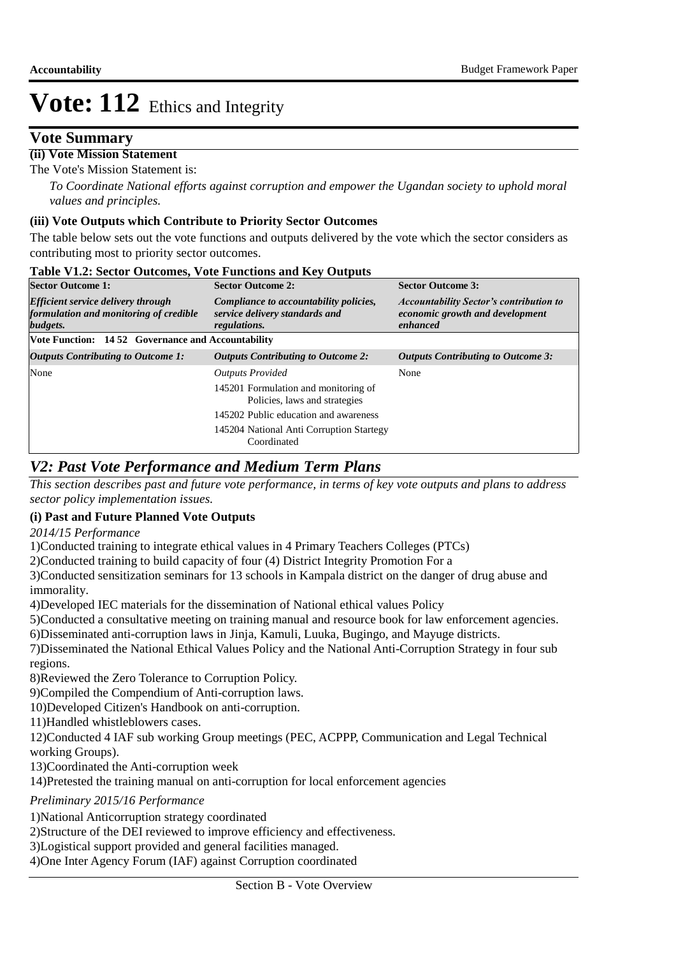## **Vote Summary**

## **(ii) Vote Mission Statement**

The Vote's Mission Statement is:

*To Coordinate National efforts against corruption and empower the Ugandan society to uphold moral values and principles.*

### **(iii) Vote Outputs which Contribute to Priority Sector Outcomes**

The table below sets out the vote functions and outputs delivered by the vote which the sector considers as contributing most to priority sector outcomes.

| <b>Sector Outcome 1:</b>                                                                        | <b>Sector Outcome 2:</b>                                                                 | <b>Sector Outcome 3:</b>                                                                      |  |
|-------------------------------------------------------------------------------------------------|------------------------------------------------------------------------------------------|-----------------------------------------------------------------------------------------------|--|
| <b>Efficient service delivery through</b><br>formulation and monitoring of credible<br>budgets. | Compliance to accountability policies,<br>service delivery standards and<br>regulations. | <b>Accountability Sector's contribution to</b><br>economic growth and development<br>enhanced |  |
| <b>Vote Function: 14.52 Governance and Accountability</b>                                       |                                                                                          |                                                                                               |  |
| <b>Outputs Contributing to Outcome 1:</b>                                                       | <b>Outputs Contributing to Outcome 2:</b>                                                | <b>Outputs Contributing to Outcome 3:</b>                                                     |  |
| None                                                                                            | <b>Outputs Provided</b>                                                                  | None                                                                                          |  |
|                                                                                                 | 145201 Formulation and monitoring of<br>Policies, laws and strategies                    |                                                                                               |  |
|                                                                                                 | 145202 Public education and awareness                                                    |                                                                                               |  |
|                                                                                                 | 145204 National Anti Corruption Startegy<br>Coordinated                                  |                                                                                               |  |

### **Table V1.2: Sector Outcomes, Vote Functions and Key Outputs**

## *V2: Past Vote Performance and Medium Term Plans*

*This section describes past and future vote performance, in terms of key vote outputs and plans to address sector policy implementation issues.* 

### **(i) Past and Future Planned Vote Outputs**

*2014/15 Performance*

1) Conducted training to integrate ethical values in 4 Primary Teachers Colleges (PTCs)

2) Conducted training to build capacity of four (4) District Integrity Promotion For a

3) Conducted sensitization seminars for 13 schools in Kampala district on the danger of drug abuse and immorality.

4) Developed IEC materials for the dissemination of National ethical values Policy

5) Conducted a consultative meeting on training manual and resource book for law enforcement agencies.

6) Disseminated anti-corruption laws in Jinja, Kamuli, Luuka, Bugingo, and Mayuge districts.

7) Disseminated the National Ethical Values Policy and the National Anti-Corruption Strategy in four sub regions.

8) Reviewed the Zero Tolerance to Corruption Policy.

9) Compiled the Compendium of Anti-corruption laws.

10) Developed Citizen's Handbook on anti-corruption.

11) Handled whistleblowers cases.

12) Conducted 4 IAF sub working Group meetings (PEC, ACPPP, Communication and Legal Technical working Groups).

13) Coordinated the Anti-corruption week

14) Pretested the training manual on anti-corruption for local enforcement agencies

*Preliminary 2015/16 Performance*

1) National Anticorruption strategy coordinated

2) Structure of the DEI reviewed to improve efficiency and effectiveness.

3) Logistical support provided and general facilities managed.

4) One Inter Agency Forum (IAF) against Corruption coordinated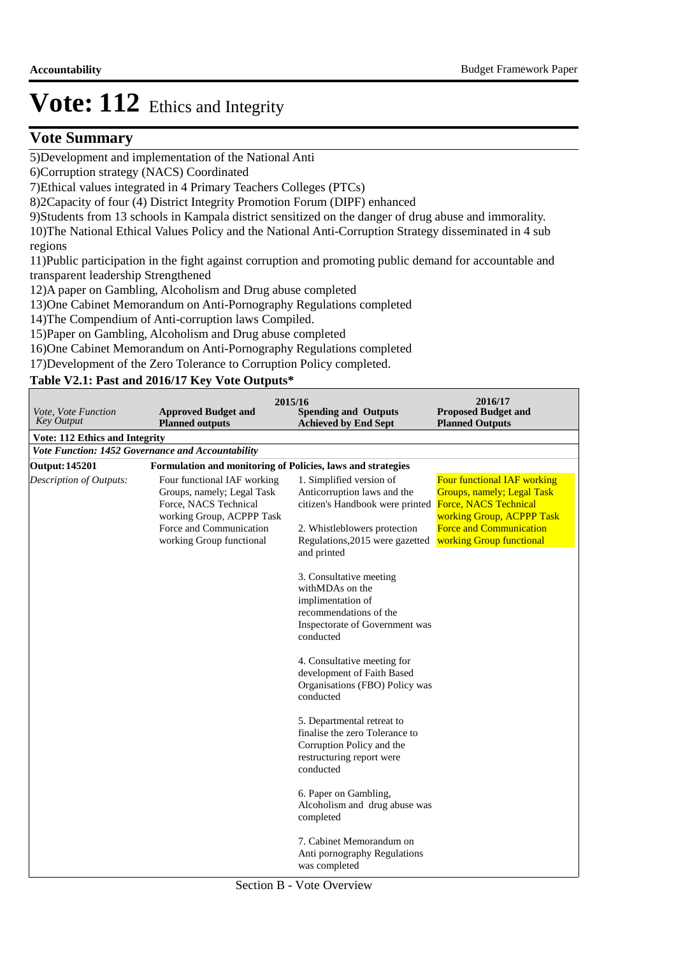## **Vote Summary**

5) Development and implementation of the National Anti

6) Corruption strategy (NACS) Coordinated

7) Ethical values integrated in 4 Primary Teachers Colleges (PTCs)

8)2Capacity of four (4) District Integrity Promotion Forum (DIPF) enhanced

9) Students from 13 schools in Kampala district sensitized on the danger of drug abuse and immorality. 10) The National Ethical Values Policy and the National Anti-Corruption Strategy disseminated in 4 sub regions

11) Public participation in the fight against corruption and promoting public demand for accountable and transparent leadership Strengthened

12) A paper on Gambling, Alcoholism and Drug abuse completed

13) One Cabinet Memorandum on Anti-Pornography Regulations completed

14) The Compendium of Anti-corruption laws Compiled.

15) Paper on Gambling, Alcoholism and Drug abuse completed

16) One Cabinet Memorandum on Anti-Pornography Regulations completed

17) Development of the Zero Tolerance to Corruption Policy completed.

## **Table V2.1: Past and 2016/17 Key Vote Outputs\***

| Vote, Vote Function<br><b>Key Output</b> | <b>Approved Budget and</b><br><b>Planned outputs</b>                                                                                                                   | 2015/16<br><b>Spending and Outputs</b><br><b>Achieved by End Sept</b>                                                                                                        | 2016/17<br><b>Proposed Budget and</b><br><b>Planned Outputs</b>                                                                                                                      |
|------------------------------------------|------------------------------------------------------------------------------------------------------------------------------------------------------------------------|------------------------------------------------------------------------------------------------------------------------------------------------------------------------------|--------------------------------------------------------------------------------------------------------------------------------------------------------------------------------------|
| <b>Vote: 112 Ethics and Integrity</b>    |                                                                                                                                                                        |                                                                                                                                                                              |                                                                                                                                                                                      |
|                                          | Vote Function: 1452 Governance and Accountability                                                                                                                      |                                                                                                                                                                              |                                                                                                                                                                                      |
| <b>Output: 145201</b>                    | Formulation and monitoring of Policies, laws and strategies                                                                                                            |                                                                                                                                                                              |                                                                                                                                                                                      |
| Description of Outputs:                  | Four functional IAF working<br>Groups, namely; Legal Task<br>Force, NACS Technical<br>working Group, ACPPP Task<br>Force and Communication<br>working Group functional | 1. Simplified version of<br>Anticorruption laws and the<br>citizen's Handbook were printed<br>2. Whistleblowers protection<br>Regulations, 2015 were gazetted<br>and printed | Four functional IAF working<br><b>Groups, namely; Legal Task</b><br>Force, NACS Technical<br>working Group, ACPPP Task<br><b>Force and Communication</b><br>working Group functional |
|                                          |                                                                                                                                                                        | 3. Consultative meeting<br>withMDAs on the<br>implimentation of<br>recommendations of the<br>Inspectorate of Government was<br>conducted                                     |                                                                                                                                                                                      |
|                                          |                                                                                                                                                                        | 4. Consultative meeting for<br>development of Faith Based<br>Organisations (FBO) Policy was<br>conducted                                                                     |                                                                                                                                                                                      |
|                                          |                                                                                                                                                                        | 5. Departmental retreat to<br>finalise the zero Tolerance to<br>Corruption Policy and the<br>restructuring report were<br>conducted                                          |                                                                                                                                                                                      |
|                                          |                                                                                                                                                                        | 6. Paper on Gambling,<br>Alcoholism and drug abuse was<br>completed                                                                                                          |                                                                                                                                                                                      |
|                                          |                                                                                                                                                                        | 7. Cabinet Memorandum on<br>Anti pornography Regulations<br>was completed                                                                                                    |                                                                                                                                                                                      |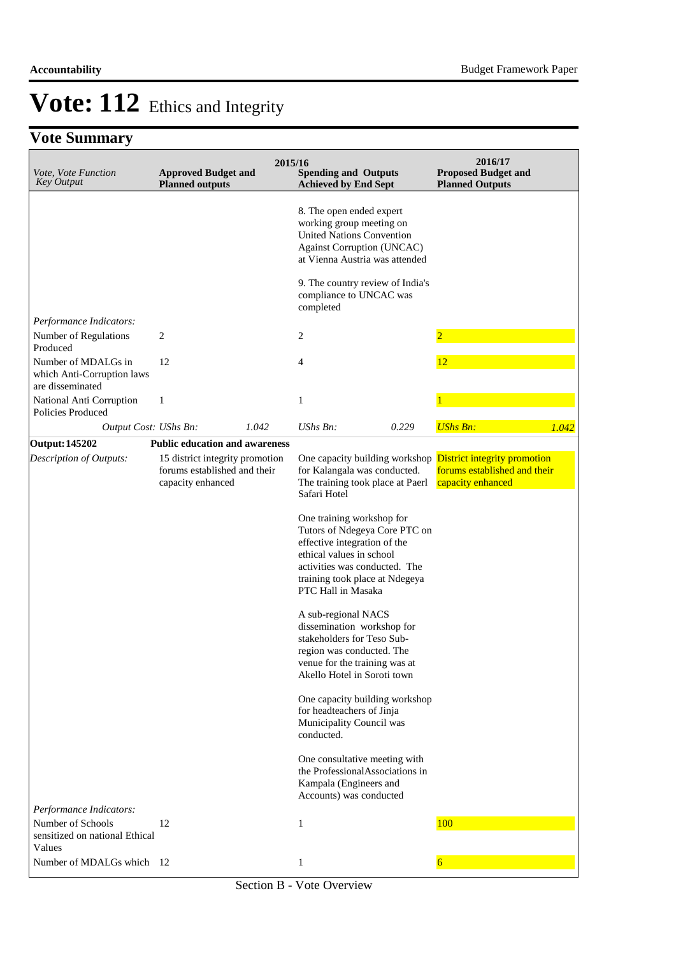## **Vote Summary**

| Vote, Vote Function<br><b>Key Output</b>                              | <b>Approved Budget and</b><br><b>Planned outputs</b>                                 | 2015/16 | <b>Spending and Outputs</b><br><b>Achieved by End Sept</b>                                                                                                                                                                                                                                                                                                                                                                                                                                                                                                                                                                                                                                 |       | 2016/17<br><b>Proposed Budget and</b><br><b>Planned Outputs</b>                                                         |       |
|-----------------------------------------------------------------------|--------------------------------------------------------------------------------------|---------|--------------------------------------------------------------------------------------------------------------------------------------------------------------------------------------------------------------------------------------------------------------------------------------------------------------------------------------------------------------------------------------------------------------------------------------------------------------------------------------------------------------------------------------------------------------------------------------------------------------------------------------------------------------------------------------------|-------|-------------------------------------------------------------------------------------------------------------------------|-------|
|                                                                       |                                                                                      |         | 8. The open ended expert<br>working group meeting on<br><b>United Nations Convention</b><br><b>Against Corruption (UNCAC)</b><br>at Vienna Austria was attended                                                                                                                                                                                                                                                                                                                                                                                                                                                                                                                            |       |                                                                                                                         |       |
|                                                                       |                                                                                      |         | 9. The country review of India's<br>compliance to UNCAC was<br>completed                                                                                                                                                                                                                                                                                                                                                                                                                                                                                                                                                                                                                   |       |                                                                                                                         |       |
| Performance Indicators:                                               |                                                                                      |         |                                                                                                                                                                                                                                                                                                                                                                                                                                                                                                                                                                                                                                                                                            |       |                                                                                                                         |       |
| Number of Regulations<br>Produced                                     | 2                                                                                    |         | 2                                                                                                                                                                                                                                                                                                                                                                                                                                                                                                                                                                                                                                                                                          |       | $\overline{2}$                                                                                                          |       |
| Number of MDALGs in<br>which Anti-Corruption laws<br>are disseminated | 12                                                                                   |         | $\overline{4}$                                                                                                                                                                                                                                                                                                                                                                                                                                                                                                                                                                                                                                                                             |       | 12                                                                                                                      |       |
| National Anti Corruption<br><b>Policies Produced</b>                  | 1                                                                                    |         | 1                                                                                                                                                                                                                                                                                                                                                                                                                                                                                                                                                                                                                                                                                          |       |                                                                                                                         |       |
| Output Cost: UShs Bn:                                                 |                                                                                      | 1.042   | <b>UShs Bn:</b>                                                                                                                                                                                                                                                                                                                                                                                                                                                                                                                                                                                                                                                                            | 0.229 | <b>UShs Bn:</b>                                                                                                         | 1.042 |
| <b>Output: 145202</b>                                                 | <b>Public education and awareness</b>                                                |         |                                                                                                                                                                                                                                                                                                                                                                                                                                                                                                                                                                                                                                                                                            |       |                                                                                                                         |       |
| Description of Outputs:                                               | 15 district integrity promotion<br>forums established and their<br>capacity enhanced |         | for Kalangala was conducted.<br>The training took place at Paerl<br>Safari Hotel<br>One training workshop for<br>Tutors of Ndegeya Core PTC on<br>effective integration of the<br>ethical values in school<br>activities was conducted. The<br>training took place at Ndegeya<br>PTC Hall in Masaka<br>A sub-regional NACS<br>dissemination workshop for<br>stakeholders for Teso Sub-<br>region was conducted. The<br>venue for the training was at<br>Akello Hotel in Soroti town<br>One capacity building workshop<br>for headteachers of Jinja<br>Municipality Council was<br>conducted.<br>One consultative meeting with<br>the ProfessionalAssociations in<br>Kampala (Engineers and |       | One capacity building workshop <b>District integrity promotion</b><br>forums established and their<br>capacity enhanced |       |
| Performance Indicators:                                               |                                                                                      |         | Accounts) was conducted                                                                                                                                                                                                                                                                                                                                                                                                                                                                                                                                                                                                                                                                    |       |                                                                                                                         |       |
| Number of Schools<br>sensitized on national Ethical<br>Values         | 12                                                                                   |         | 1                                                                                                                                                                                                                                                                                                                                                                                                                                                                                                                                                                                                                                                                                          |       | 100                                                                                                                     |       |
| Number of MDALGs which 12                                             |                                                                                      |         | $\mathbf{1}$                                                                                                                                                                                                                                                                                                                                                                                                                                                                                                                                                                                                                                                                               |       | 6                                                                                                                       |       |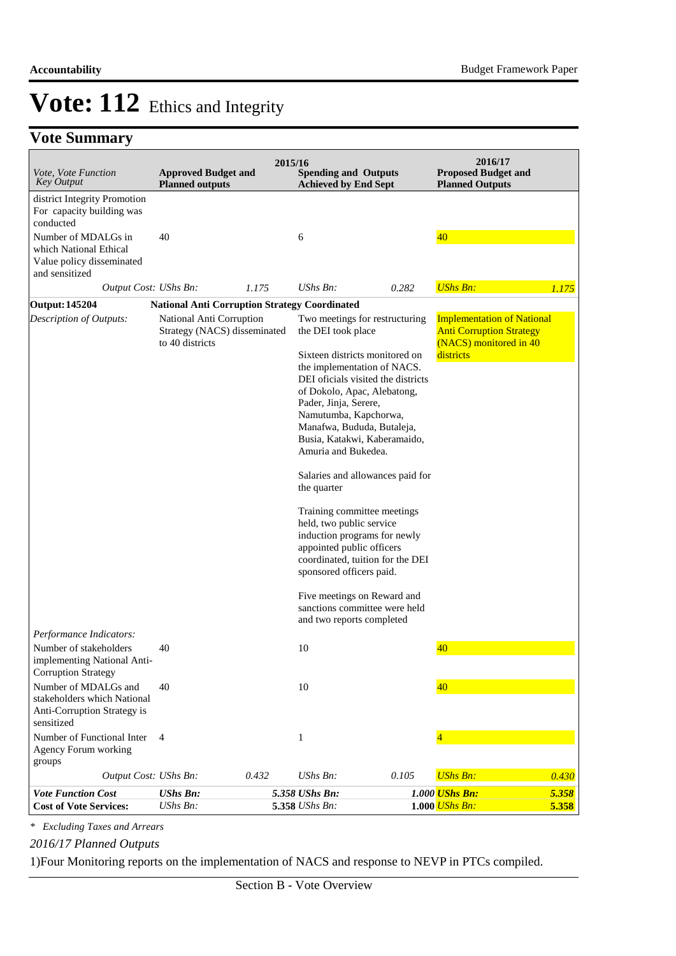## **Vote Summary**

| <i>Vote, Vote Function</i><br><b>Key Output</b>                                                  | <b>Approved Budget and</b><br><b>Planned outputs</b>                        | 2015/16 | <b>Spending and Outputs</b><br><b>Achieved by End Sept</b>                                                                                                                                                                                                                                                                                                                                                                                                                                                                                                                                                                                                                |       | 2016/17<br><b>Proposed Budget and</b><br><b>Planned Outputs</b>                                             |                |
|--------------------------------------------------------------------------------------------------|-----------------------------------------------------------------------------|---------|---------------------------------------------------------------------------------------------------------------------------------------------------------------------------------------------------------------------------------------------------------------------------------------------------------------------------------------------------------------------------------------------------------------------------------------------------------------------------------------------------------------------------------------------------------------------------------------------------------------------------------------------------------------------------|-------|-------------------------------------------------------------------------------------------------------------|----------------|
| district Integrity Promotion<br>For capacity building was<br>conducted                           |                                                                             |         |                                                                                                                                                                                                                                                                                                                                                                                                                                                                                                                                                                                                                                                                           |       |                                                                                                             |                |
| Number of MDALGs in<br>which National Ethical<br>Value policy disseminated<br>and sensitized     | 40                                                                          |         | 6                                                                                                                                                                                                                                                                                                                                                                                                                                                                                                                                                                                                                                                                         |       | 40                                                                                                          |                |
| Output Cost: UShs Bn:                                                                            |                                                                             | 1.175   | $UShs Bn$ :                                                                                                                                                                                                                                                                                                                                                                                                                                                                                                                                                                                                                                                               | 0.282 | <b>UShs Bn:</b>                                                                                             | 1.175          |
| <b>Output: 145204</b>                                                                            | <b>National Anti Corruption Strategy Coordinated</b>                        |         |                                                                                                                                                                                                                                                                                                                                                                                                                                                                                                                                                                                                                                                                           |       |                                                                                                             |                |
| Description of Outputs:                                                                          | National Anti Corruption<br>Strategy (NACS) disseminated<br>to 40 districts |         | Two meetings for restructuring<br>the DEI took place<br>Sixteen districts monitored on<br>the implementation of NACS.<br>DEI oficials visited the districts<br>of Dokolo, Apac, Alebatong,<br>Pader, Jinja, Serere,<br>Namutumba, Kapchorwa,<br>Manafwa, Bududa, Butaleja,<br>Busia, Katakwi, Kaberamaido,<br>Amuria and Bukedea.<br>Salaries and allowances paid for<br>the quarter<br>Training committee meetings<br>held, two public service<br>induction programs for newly<br>appointed public officers<br>coordinated, tuition for the DEI<br>sponsored officers paid.<br>Five meetings on Reward and<br>sanctions committee were held<br>and two reports completed |       | <b>Implementation of National</b><br><b>Anti Corruption Strategy</b><br>(NACS) monitored in 40<br>districts |                |
| Performance Indicators:                                                                          |                                                                             |         |                                                                                                                                                                                                                                                                                                                                                                                                                                                                                                                                                                                                                                                                           |       |                                                                                                             |                |
| Number of stakeholders<br>implementing National Anti-<br><b>Corruption Strategy</b>              | 40                                                                          |         | 10                                                                                                                                                                                                                                                                                                                                                                                                                                                                                                                                                                                                                                                                        |       | 40                                                                                                          |                |
| Number of MDALGs and<br>stakeholders which National<br>Anti-Corruption Strategy is<br>sensitized | 40                                                                          |         | 10                                                                                                                                                                                                                                                                                                                                                                                                                                                                                                                                                                                                                                                                        |       | 40                                                                                                          |                |
| Number of Functional Inter<br>Agency Forum working<br>groups                                     | $\overline{4}$                                                              |         | 1                                                                                                                                                                                                                                                                                                                                                                                                                                                                                                                                                                                                                                                                         |       |                                                                                                             |                |
| Output Cost: UShs Bn:                                                                            |                                                                             | 0.432   | UShs Bn:                                                                                                                                                                                                                                                                                                                                                                                                                                                                                                                                                                                                                                                                  | 0.105 | <b>UShs Bn:</b>                                                                                             | 0.430          |
| <b>Vote Function Cost</b><br><b>Cost of Vote Services:</b>                                       | <b>UShs Bn:</b><br><b>UShs Bn:</b>                                          |         | 5.358 UShs Bn:<br>5.358 UShs Bn:                                                                                                                                                                                                                                                                                                                                                                                                                                                                                                                                                                                                                                          |       | 1.000 UShs Bn:<br>1.000 UShs Bn:                                                                            | 5.358<br>5.358 |

*\* Excluding Taxes and Arrears*

*2016/17 Planned Outputs*

1) Four Monitoring reports on the implementation of NACS and response to NEVP in PTCs compiled.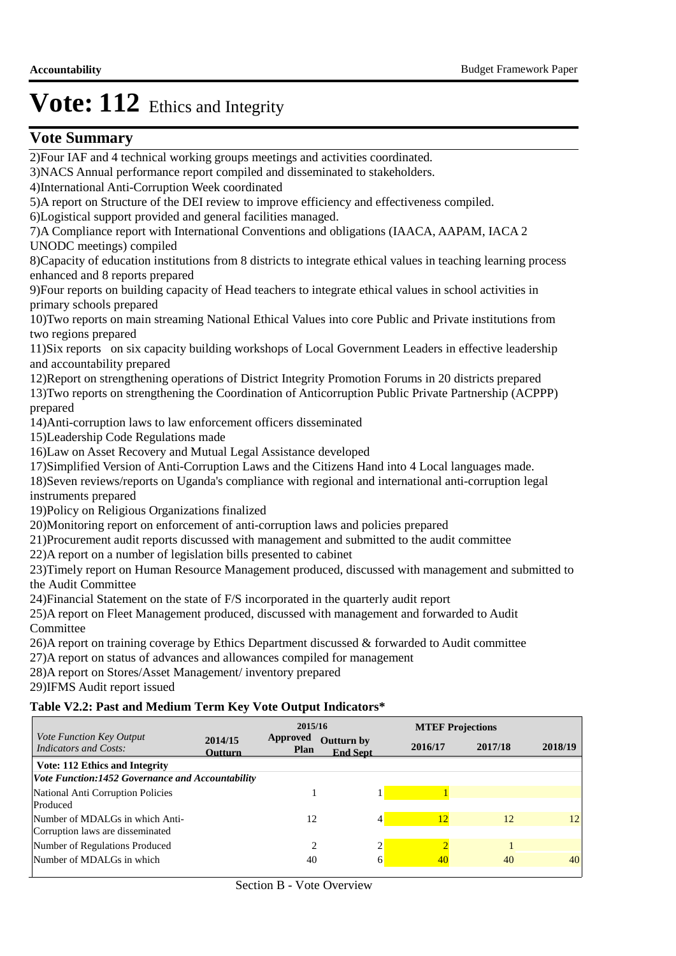## **Vote Summary**

**Table V2.2: Past and Medium Term Key Vote Output Indicators\*** 2) Four IAF and 4 technical working groups meetings and activities coordinated. 3) NACS Annual performance report compiled and disseminated to stakeholders. 4) International Anti-Corruption Week coordinated 5) A report on Structure of the DEI review to improve efficiency and effectiveness compiled. 6) Logistical support provided and general facilities managed. 7) A Compliance report with International Conventions and obligations (IAACA, AAPAM, IACA 2 UNODC meetings) compiled 8) Capacity of education institutions from 8 districts to integrate ethical values in teaching learning process enhanced and 8 reports prepared 9) Four reports on building capacity of Head teachers to integrate ethical values in school activities in primary schools prepared 10) Two reports on main streaming National Ethical Values into core Public and Private institutions from two regions prepared 11) Six reports on six capacity building workshops of Local Government Leaders in effective leadership and accountability prepared 12) Report on strengthening operations of District Integrity Promotion Forums in 20 districts prepared 13) Two reports on strengthening the Coordination of Anticorruption Public Private Partnership (ACPPP) prepared 14) Anti-corruption laws to law enforcement officers disseminated 15) Leadership Code Regulations made 16) Law on Asset Recovery and Mutual Legal Assistance developed 17) Simplified Version of Anti-Corruption Laws and the Citizens Hand into 4 Local languages made. 18) Seven reviews/reports on Uganda's compliance with regional and international anti-corruption legal instruments prepared 19) Policy on Religious Organizations finalized 20) Monitoring report on enforcement of anti-corruption laws and policies prepared 21) Procurement audit reports discussed with management and submitted to the audit committee 22) A report on a number of legislation bills presented to cabinet 23) Timely report on Human Resource Management produced, discussed with management and submitted to the Audit Committee 24) Financial Statement on the state of F/S incorporated in the quarterly audit report 25) A report on Fleet Management produced, discussed with management and forwarded to Audit **Committee**  $26$ ) A report on training coverage by Ethics Department discussed  $&$  forwarded to Audit committee 27) A report on status of advances and allowances compiled for management 28) A report on Stores/Asset Management/ inventory prepared 29)IFMS Audit report issued **2018/19 2014/15 Outturn by Approved Outturn End Sept Plan 2016/17 2017/18 2015/16 MTEF Projections** *Vote Function Key Output Indicators and Costs:* **Vote: 112 Ethics and Integrity** *Vote Function:1452 Governance and Accountability* National Anti Corruption Policies 1 1 1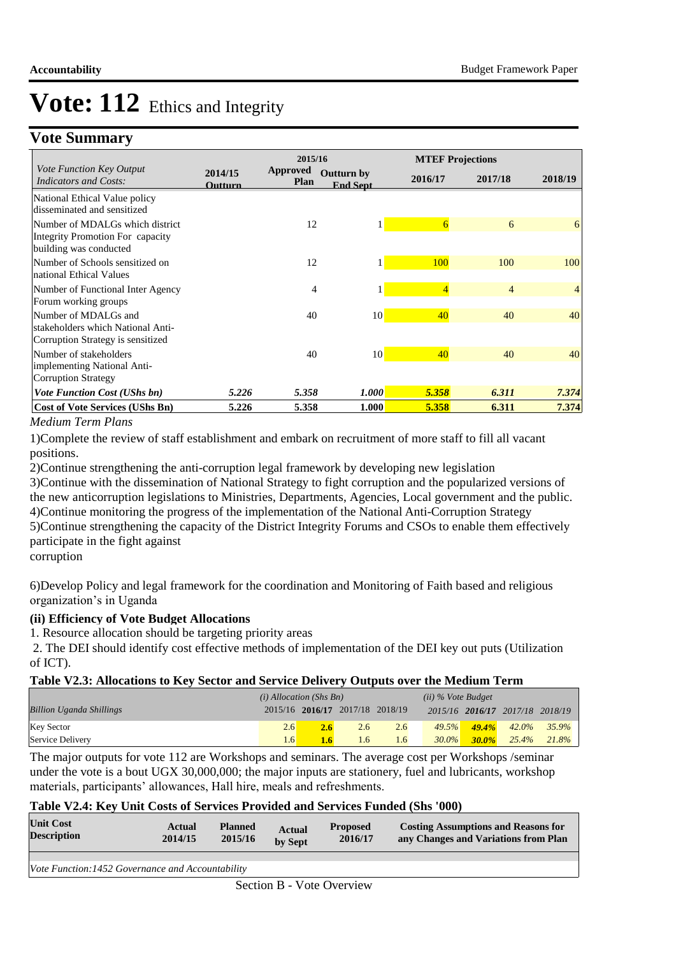## **Vote Summary**

|                                                                                                |                    | 2015/16                 |                                      |                | <b>MTEF Projections</b> |                |
|------------------------------------------------------------------------------------------------|--------------------|-------------------------|--------------------------------------|----------------|-------------------------|----------------|
| <i>Vote Function Key Output</i><br><b>Indicators and Costs:</b>                                | 2014/15<br>Outturn | <b>Approved</b><br>Plan | <b>Outturn by</b><br><b>End Sept</b> | 2016/17        | 2017/18                 | 2018/19        |
| National Ethical Value policy<br>disseminated and sensitized                                   |                    |                         |                                      |                |                         |                |
| Number of MDALGs which district<br>Integrity Promotion For capacity<br>building was conducted  |                    | 12                      |                                      | 6              | 6                       | 6              |
| Number of Schools sensitized on<br>national Ethical Values                                     |                    | 12                      |                                      | 100            | 100                     | 100            |
| Number of Functional Inter Agency<br>Forum working groups                                      |                    | $\overline{4}$          |                                      | $\overline{4}$ | $\overline{4}$          | $\overline{4}$ |
| Number of MDALGs and<br>stakeholders which National Anti-<br>Corruption Strategy is sensitized |                    | 40                      | 10                                   | 40             | 40                      | 40             |
| Number of stakeholders<br>implementing National Anti-<br><b>Corruption Strategy</b>            |                    | 40                      | 10                                   | 40             | 40                      | 40             |
| <b>Vote Function Cost (UShs bn)</b>                                                            | 5.226              | 5.358                   | <b>1.000</b>                         | 5.358          | 6.311                   | 7.374          |
| <b>Cost of Vote Services (UShs Bn)</b>                                                         | 5.226              | 5.358                   | 1.000                                | 5.358          | 6.311                   | 7.374          |

### *Medium Term Plans*

1) Complete the review of staff establishment and embark on recruitment of more staff to fill all vacant positions.

2) Continue strengthening the anti-corruption legal framework by developing new legislation

3) Continue with the dissemination of National Strategy to fight corruption and the popularized versions of the new anticorruption legislations to Ministries, Departments, Agencies, Local government and the public. 4) Continue monitoring the progress of the implementation of the National Anti-Corruption Strategy 5) Continue strengthening the capacity of the District Integrity Forums and CSOs to enable them effectively participate in the fight against

corruption

6) Develop Policy and legal framework for the coordination and Monitoring of Faith based and religious organization's in Uganda

### **(ii) Efficiency of Vote Budget Allocations**

1. Resource allocation should be targeting priority areas

 2. The DEI should identify cost effective methods of implementation of the DEI key out puts (Utilization of ICT).

### **Table V2.3: Allocations to Key Sector and Service Delivery Outputs over the Medium Term**

|                                 | $(i)$ Allocation (Shs Bn) |     |                                 |     | $(ii)$ % Vote Budget |          |                                 |          |
|---------------------------------|---------------------------|-----|---------------------------------|-----|----------------------|----------|---------------------------------|----------|
| <b>Billion Uganda Shillings</b> |                           |     | 2015/16 2016/17 2017/18 2018/19 |     |                      |          | 2015/16 2016/17 2017/18 2018/19 |          |
| <b>Key Sector</b>               | 2.6                       | 2.6 | 2.6                             | 2.6 | 49.5%                | $49.4\%$ | $42.0\%$                        | $35.9\%$ |
| Service Delivery                | $\overline{6}$            |     | 1.6                             | 1.6 | $30.0\%$             | $30.0\%$ | 25.4%                           | 21.8%    |

The major outputs for vote 112 are Workshops and seminars. The average cost per Workshops /seminar under the vote is a bout UGX 30,000,000; the major inputs are stationery, fuel and lubricants, workshop materials, participants' allowances, Hall hire, meals and refreshments.

### **Table V2.4: Key Unit Costs of Services Provided and Services Funded (Shs '000)**

| <b>Unit Cost</b><br><b>Description</b>                  | Actual<br>2014/15 | <b>Planned</b><br>2015/16 | <b>Actual</b><br>by Sept | <b>Proposed</b><br>2016/17 | <b>Costing Assumptions and Reasons for</b><br>any Changes and Variations from Plan |
|---------------------------------------------------------|-------------------|---------------------------|--------------------------|----------------------------|------------------------------------------------------------------------------------|
|                                                         |                   |                           |                          |                            |                                                                                    |
| <i>Vote Function:1452 Governance and Accountability</i> |                   |                           |                          |                            |                                                                                    |
|                                                         |                   |                           |                          |                            |                                                                                    |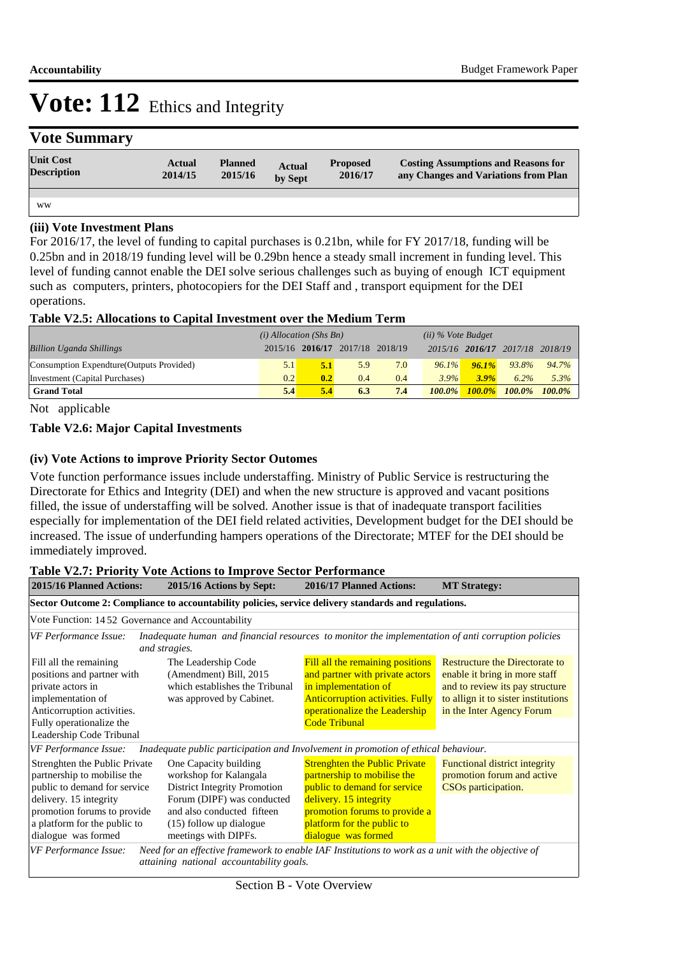## **Vote Summary**

| <b>Unit Cost</b><br><b>Description</b> | Actual<br>2014/15 | <b>Planned</b><br>2015/16 | <b>Actual</b><br>by Sept | <b>Proposed</b><br>2016/17 | <b>Costing Assumptions and Reasons for</b><br>any Changes and Variations from Plan |
|----------------------------------------|-------------------|---------------------------|--------------------------|----------------------------|------------------------------------------------------------------------------------|
|                                        |                   |                           |                          |                            |                                                                                    |
| <b>WW</b>                              |                   |                           |                          |                            |                                                                                    |

### **(iii) Vote Investment Plans**

For 2016/17, the level of funding to capital purchases is 0.21bn, while for FY 2017/18, funding will be 0.25bn and in 2018/19 funding level will be 0.29bn hence a steady small increment in funding level. This level of funding cannot enable the DEI solve serious challenges such as buying of enough ICT equipment such as computers, printers, photocopiers for the DEI Staff and , transport equipment for the DEI operations.

### **Table V2.5: Allocations to Capital Investment over the Medium Term**

|                                           | $(i)$ Allocation (Shs Bn) |                                 |     | $(ii)$ % Vote Budget |           |           |                                 |           |
|-------------------------------------------|---------------------------|---------------------------------|-----|----------------------|-----------|-----------|---------------------------------|-----------|
| <b>Billion Uganda Shillings</b>           |                           | 2015/16 2016/17 2017/18 2018/19 |     |                      |           |           | 2015/16 2016/17 2017/18 2018/19 |           |
| Consumption Expendture (Outputs Provided) | 5.1                       | 5.1                             | 5.9 | 7.0                  | $96.1\%$  | 96.1%     | 93.8%                           | 94.7%     |
| Investment (Capital Purchases)            | 0.2                       | 0.2                             | 0.4 | 0.4                  | $3.9\%$   | 3.9%      | $6.2\%$                         | 5.3%      |
| <b>Grand Total</b>                        | 5.4                       | 5.4                             | 6.3 | 7.4                  | $100.0\%$ | $100.0\%$ | $100.0\%$                       | $100.0\%$ |

Not applicable

#### **Table V2.6: Major Capital Investments**

#### **(iv) Vote Actions to improve Priority Sector Outomes**

Vote function performance issues include understaffing. Ministry of Public Service is restructuring the Directorate for Ethics and Integrity (DEI) and when the new structure is approved and vacant positions filled, the issue of understaffing will be solved. Another issue is that of inadequate transport facilities especially for implementation of the DEI field related activities, Development budget for the DEI should be increased. The issue of underfunding hampers operations of the Directorate; MTEF for the DEI should be immediately improved.

#### **Table V2.7: Priority Vote Actions to Improve Sector Performance**

| 2015/16 Planned Actions:                                                                                                                                                              | 2015/16 Actions by Sept:                                                                                                                                                      | 2016/17 Planned Actions:                                                                                                                                                                        | <b>MT Strategy:</b>                                                                                                                                                           |  |  |  |  |  |  |
|---------------------------------------------------------------------------------------------------------------------------------------------------------------------------------------|-------------------------------------------------------------------------------------------------------------------------------------------------------------------------------|-------------------------------------------------------------------------------------------------------------------------------------------------------------------------------------------------|-------------------------------------------------------------------------------------------------------------------------------------------------------------------------------|--|--|--|--|--|--|
| Sector Outcome 2: Compliance to accountability policies, service delivery standards and regulations.                                                                                  |                                                                                                                                                                               |                                                                                                                                                                                                 |                                                                                                                                                                               |  |  |  |  |  |  |
|                                                                                                                                                                                       | Vote Function: 1452 Governance and Accountability                                                                                                                             |                                                                                                                                                                                                 |                                                                                                                                                                               |  |  |  |  |  |  |
| VF Performance Issue:                                                                                                                                                                 | Inadequate human and financial resources to monitor the implementation of anti corruption policies<br>and stragies.                                                           |                                                                                                                                                                                                 |                                                                                                                                                                               |  |  |  |  |  |  |
| Fill all the remaining<br>positions and partner with<br>private actors in<br>implementation of<br>Anticorruption activities.<br>Fully operationalize the<br>Leadership Code Tribunal  | The Leadership Code<br>(Amendment) Bill, 2015<br>which establishes the Tribunal<br>was approved by Cabinet.                                                                   | Fill all the remaining positions<br>and partner with private actors<br>in implementation of<br><b>Anticorruption activities. Fully</b><br>operationalize the Leadership<br><b>Code Tribunal</b> | <b>Restructure the Directorate to</b><br>enable it bring in more staff<br>and to review its pay structure<br>to allign it to sister institutions<br>in the Inter Agency Forum |  |  |  |  |  |  |
| <b>VF</b> Performance Issue:                                                                                                                                                          | Inadequate public participation and Involvement in promotion of ethical behaviour.                                                                                            |                                                                                                                                                                                                 |                                                                                                                                                                               |  |  |  |  |  |  |
| Strenghten the Public Private<br>partnership to mobilise the<br>public to demand for service<br>delivery. 15 integrity<br>promotion forums to provide<br>a platform for the public to | One Capacity building<br>workshop for Kalangala<br><b>District Integrity Promotion</b><br>Forum (DIPF) was conducted<br>and also conducted fifteen<br>(15) follow up dialogue | <b>Strenghten the Public Private</b><br>partnership to mobilise the<br>public to demand for service<br>delivery. 15 integrity<br>promotion forums to provide a<br>platform for the public to    | <b>Functional district integrity</b><br>promotion forum and active<br>CSO <sub>s</sub> participation.                                                                         |  |  |  |  |  |  |
| dialogue was formed                                                                                                                                                                   | meetings with DIPFs.                                                                                                                                                          | dialogue was formed                                                                                                                                                                             |                                                                                                                                                                               |  |  |  |  |  |  |
| VF Performance Issue:<br>Need for an effective framework to enable IAF Institutions to work as a unit with the objective of<br>attaining national accountability goals.               |                                                                                                                                                                               |                                                                                                                                                                                                 |                                                                                                                                                                               |  |  |  |  |  |  |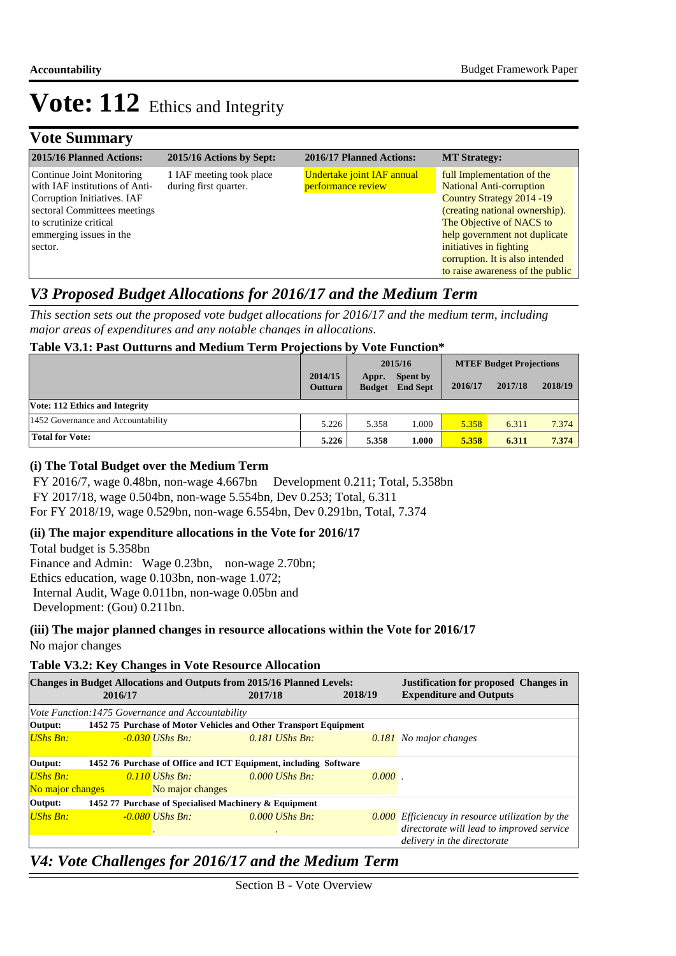## **Vote Summary**

| 2015/16 Planned Actions:                                                                                                                                                                   | 2015/16 Actions by Sept:                          | 2016/17 Planned Actions:                                | <b>MT Strategy:</b>                                                                                                                                                                                                   |
|--------------------------------------------------------------------------------------------------------------------------------------------------------------------------------------------|---------------------------------------------------|---------------------------------------------------------|-----------------------------------------------------------------------------------------------------------------------------------------------------------------------------------------------------------------------|
| Continue Joint Monitoring<br>with IAF institutions of Anti-<br>Corruption Initiatives. IAF<br>sectoral Committees meetings<br>to scrutinize critical<br>emmerging issues in the<br>sector. | 1 IAF meeting took place<br>during first quarter. | <b>Undertake joint IAF annual</b><br>performance review | full Implementation of the<br><b>National Anti-corruption</b><br>Country Strategy 2014 - 19<br>(creating national ownership).<br>The Objective of NACS to<br>help government not duplicate<br>initiatives in fighting |
|                                                                                                                                                                                            |                                                   |                                                         | corruption. It is also intended<br>to raise awareness of the public                                                                                                                                                   |

## *V3 Proposed Budget Allocations for 2016/17 and the Medium Term*

*This section sets out the proposed vote budget allocations for 2016/17 and the medium term, including major areas of expenditures and any notable changes in allocations.* 

## **Table V3.1: Past Outturns and Medium Term Projections by Vote Function\***

|                                    |                           |                        | 2015/16                     | <b>MTEF Budget Projections</b> |         |         |
|------------------------------------|---------------------------|------------------------|-----------------------------|--------------------------------|---------|---------|
|                                    | 2014/15<br><b>Outturn</b> | Appr.<br><b>Budget</b> | Spent by<br><b>End Sept</b> | 2016/17                        | 2017/18 | 2018/19 |
| Vote: 112 Ethics and Integrity     |                           |                        |                             |                                |         |         |
| 1452 Governance and Accountability | 5.226                     | 5.358                  | 1.000                       | 5.358                          | 6.311   | 7.374   |
| <b>Total for Vote:</b>             | 5.226                     | 5.358                  | 1.000                       | 5.358                          | 6.311   | 7.374   |

## **(i) The Total Budget over the Medium Term**

 FY 2016/7, wage 0.48bn, non-wage 4.667bn Development 0.211; Total, 5.358bn FY 2017/18, wage 0.504bn, non-wage 5.554bn, Dev 0.253; Total, 6.311 For FY 2018/19, wage 0.529bn, non-wage 6.554bn, Dev 0.291bn, Total, 7.374

### **(ii) The major expenditure allocations in the Vote for 2016/17**

Total budget is 5.358bn Finance and Admin: Wage 0.23bn, non-wage 2.70bn; Ethics education, wage 0.103bn, non-wage 1.072; Internal Audit, Wage 0.011bn, non-wage 0.05bn and Development: (Gou) 0.211bn.

**(iii) The major planned changes in resource allocations within the Vote for 2016/17**

No major changes

## **Table V3.2: Key Changes in Vote Resource Allocation**

|                                                                             | 2016/17                                                          |                                                   | <b>Changes in Budget Allocations and Outputs from 2015/16 Planned Levels:</b><br>2017/18 | 2018/19 | <b>Justification for proposed Changes in</b><br><b>Expenditure and Outputs</b> |  |  |
|-----------------------------------------------------------------------------|------------------------------------------------------------------|---------------------------------------------------|------------------------------------------------------------------------------------------|---------|--------------------------------------------------------------------------------|--|--|
|                                                                             |                                                                  | Vote Function: 1475 Governance and Accountability |                                                                                          |         |                                                                                |  |  |
| Output:                                                                     | 1452 75 Purchase of Motor Vehicles and Other Transport Equipment |                                                   |                                                                                          |         |                                                                                |  |  |
| $UShs Bn:$                                                                  |                                                                  | $-0.030$ UShs Bn:                                 | $0.181$ UShs Bn:                                                                         |         | 0.181 No major changes                                                         |  |  |
| Output:<br>1452 76 Purchase of Office and ICT Equipment, including Software |                                                                  |                                                   |                                                                                          |         |                                                                                |  |  |
| $UShs Bn:$                                                                  |                                                                  | 0.110 UShs Bn:                                    | $0.000$ UShs Bn.                                                                         | 0,000   |                                                                                |  |  |
| No major changes                                                            |                                                                  | No major changes                                  |                                                                                          |         |                                                                                |  |  |
| 1452 77 Purchase of Specialised Machinery & Equipment<br>Output:            |                                                                  |                                                   |                                                                                          |         |                                                                                |  |  |
| $UShs Bn:$                                                                  |                                                                  | -0.080 UShs Bn:                                   | $0.000$ UShs Bn:                                                                         |         | $\overline{0.000}$ Efficiencuy in resource utilization by the                  |  |  |
|                                                                             |                                                                  |                                                   | $\bullet$                                                                                |         | directorate will lead to improved service                                      |  |  |
|                                                                             |                                                                  |                                                   |                                                                                          |         | delivery in the directorate                                                    |  |  |

## *V4: Vote Challenges for 2016/17 and the Medium Term*

Section B - Vote Overview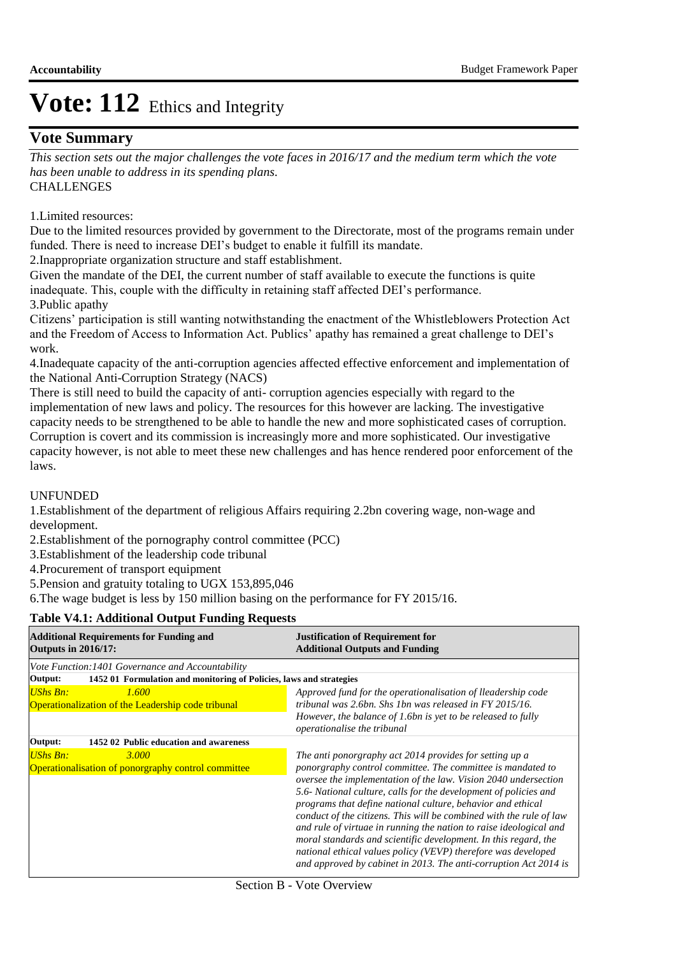## **Vote Summary**

**CHALLENGES** *This section sets out the major challenges the vote faces in 2016/17 and the medium term which the vote has been unable to address in its spending plans.*

1. Limited resources:

Due to the limited resources provided by government to the Directorate, most of the programs remain under funded. There is need to increase DEI's budget to enable it fulfill its mandate.

2. Inappropriate organization structure and staff establishment.

Given the mandate of the DEI, the current number of staff available to execute the functions is quite inadequate. This, couple with the difficulty in retaining staff affected DEI's performance. 3. Public apathy

Citizens' participation is still wanting notwithstanding the enactment of the Whistleblowers Protection Act and the Freedom of Access to Information Act. Publics' apathy has remained a great challenge to DEI's work.

4. Inadequate capacity of the anti-corruption agencies affected effective enforcement and implementation of the National Anti-Corruption Strategy (NACS)

There is still need to build the capacity of anti- corruption agencies especially with regard to the implementation of new laws and policy. The resources for this however are lacking. The investigative capacity needs to be strengthened to be able to handle the new and more sophisticated cases of corruption. Corruption is covert and its commission is increasingly more and more sophisticated. Our investigative capacity however, is not able to meet these new challenges and has hence rendered poor enforcement of the laws.

### UNFUNDED

1. Establishment of the department of religious Affairs requiring 2.2bn covering wage, non-wage and development.

2. Establishment of the pornography control committee (PCC)

- 3. Establishment of the leadership code tribunal
- 4. Procurement of transport equipment

5. Pension and gratuity totaling to UGX 153,895,046

6. The wage budget is less by 150 million basing on the performance for FY 2015/16.

### **Table V4.1: Additional Output Funding Requests**

| <b>Additional Requirements for Funding and</b><br><b>Outputs in 2016/17:</b>   | <b>Justification of Requirement for</b><br><b>Additional Outputs and Funding</b>                                                                                                                                                                                                                                                                                                                                                                                                                                                                                                                                                                                                  |
|--------------------------------------------------------------------------------|-----------------------------------------------------------------------------------------------------------------------------------------------------------------------------------------------------------------------------------------------------------------------------------------------------------------------------------------------------------------------------------------------------------------------------------------------------------------------------------------------------------------------------------------------------------------------------------------------------------------------------------------------------------------------------------|
| Vote Function: 1401 Governance and Accountability                              |                                                                                                                                                                                                                                                                                                                                                                                                                                                                                                                                                                                                                                                                                   |
| 1452 01 Formulation and monitoring of Policies, laws and strategies<br>Output: |                                                                                                                                                                                                                                                                                                                                                                                                                                                                                                                                                                                                                                                                                   |
| UShs Bn:<br>1.600<br>Operationalization of the Leadership code tribunal        | Approved fund for the operationalisation of lleadership code<br>tribunal was 2.6bn. Shs 1bn was released in FY 2015/16.<br>However, the balance of 1.6bn is yet to be released to fully<br>operationalise the tribunal                                                                                                                                                                                                                                                                                                                                                                                                                                                            |
| Output:<br>1452 02 Public education and awareness                              |                                                                                                                                                                                                                                                                                                                                                                                                                                                                                                                                                                                                                                                                                   |
| $UShs Bn:$<br>3.000<br>Operationalisation of ponorgraphy control committee     | The anti ponorgraphy act 2014 provides for setting up a<br>ponorgraphy control committee. The committee is mandated to<br>oversee the implementation of the law. Vision 2040 undersection<br>5.6- National culture, calls for the development of policies and<br>programs that define national culture, behavior and ethical<br>conduct of the citizens. This will be combined with the rule of law<br>and rule of virtuae in running the nation to raise ideological and<br>moral standards and scientific development. In this regard, the<br>national ethical values policy (VEVP) therefore was developed<br>and approved by cabinet in 2013. The anti-corruption Act 2014 is |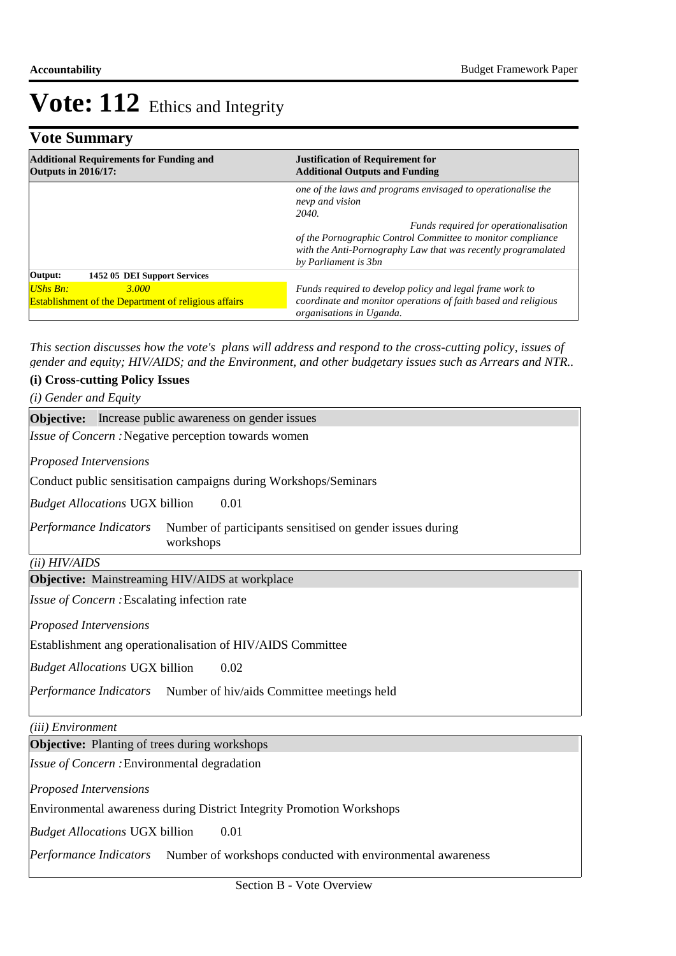|  | <b>Vote Summary</b> |
|--|---------------------|
|--|---------------------|

| <b>Additional Requirements for Funding and</b>              | <b>Justification of Requirement for</b>                                                                                                                                                                                                                                                   |  |  |
|-------------------------------------------------------------|-------------------------------------------------------------------------------------------------------------------------------------------------------------------------------------------------------------------------------------------------------------------------------------------|--|--|
| <b>Outputs in 2016/17:</b>                                  | <b>Additional Outputs and Funding</b>                                                                                                                                                                                                                                                     |  |  |
|                                                             | one of the laws and programs envisaged to operationalise the<br>nevp and vision<br>2040.<br>Funds required for operationalisation<br>of the Pornographic Control Committee to monitor compliance<br>with the Anti-Pornography Law that was recently programalated<br>by Parliament is 3bn |  |  |
| 1452 05 DEI Support Services<br>Output:                     |                                                                                                                                                                                                                                                                                           |  |  |
| <b>UShs Bn:</b>                                             | Funds required to develop policy and legal frame work to                                                                                                                                                                                                                                  |  |  |
| 3.000                                                       | coordinate and monitor operations of faith based and religious                                                                                                                                                                                                                            |  |  |
| <b>Establishment of the Department of religious affairs</b> | organisations in Uganda.                                                                                                                                                                                                                                                                  |  |  |

*This section discusses how the vote's plans will address and respond to the cross-cutting policy, issues of gender and equity; HIV/AIDS; and the Environment, and other budgetary issues such as Arrears and NTR..* 

## **(i) Cross-cutting Policy Issues**

*(i) Gender and Equity*

| <b>Objective:</b> Increase public awareness on gender issues                                     |  |  |  |  |
|--------------------------------------------------------------------------------------------------|--|--|--|--|
| <i>Issue of Concern</i> : Negative perception towards women                                      |  |  |  |  |
| <b>Proposed Intervensions</b>                                                                    |  |  |  |  |
| Conduct public sensitisation campaigns during Workshops/Seminars                                 |  |  |  |  |
| <i>Budget Allocations</i> UGX billion<br>0.01                                                    |  |  |  |  |
| Performance Indicators<br>Number of participants sensitised on gender issues during<br>workshops |  |  |  |  |
| (ii) HIV/AIDS                                                                                    |  |  |  |  |
| <b>Objective:</b> Mainstreaming HIV/AIDS at workplace                                            |  |  |  |  |
| <i>Issue of Concern:</i> Escalating infection rate                                               |  |  |  |  |
| <b>Proposed Intervensions</b>                                                                    |  |  |  |  |
| Establishment ang operationalisation of HIV/AIDS Committee                                       |  |  |  |  |

0.02 *Budget Allocations*  UGX billion

Performance Indicators Number of hiv/aids Committee meetings held

*(iii) Environment*

**Objective:** Planting of trees during workshops

Issue of Concern : Environmental degradation

*Proposed Intervensions* 

Environmental awareness during District Integrity Promotion Workshops

0.01 *Budget Allocations*  UGX billion

Performance Indicators Number of workshops conducted with environmental awareness